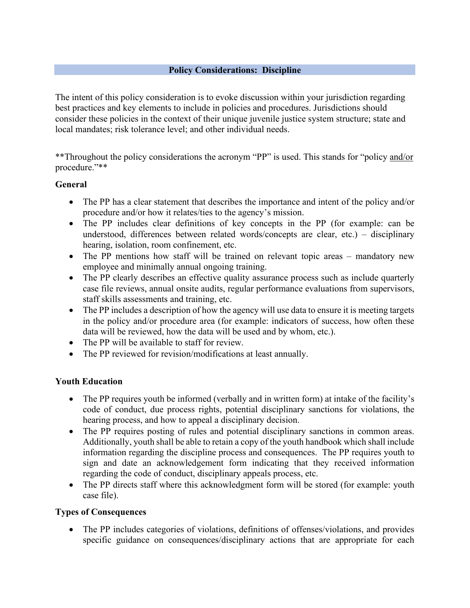#### **Policy Considerations: Discipline**

The intent of this policy consideration is to evoke discussion within your jurisdiction regarding best practices and key elements to include in policies and procedures. Jurisdictions should consider these policies in the context of their unique juvenile justice system structure; state and local mandates; risk tolerance level; and other individual needs.

\*\*Throughout the policy considerations the acronym "PP" is used. This stands for "policy and/or procedure."\*\*

#### **General**

- The PP has a clear statement that describes the importance and intent of the policy and/or procedure and/or how it relates/ties to the agency's mission.
- The PP includes clear definitions of key concepts in the PP (for example: can be understood, differences between related words/concepts are clear, etc.) – disciplinary hearing, isolation, room confinement, etc.
- The PP mentions how staff will be trained on relevant topic areas mandatory new employee and minimally annual ongoing training.
- The PP clearly describes an effective quality assurance process such as include quarterly case file reviews, annual onsite audits, regular performance evaluations from supervisors, staff skills assessments and training, etc.
- The PP includes a description of how the agency will use data to ensure it is meeting targets in the policy and/or procedure area (for example: indicators of success, how often these data will be reviewed, how the data will be used and by whom, etc.).
- The PP will be available to staff for review.
- The PP reviewed for revision/modifications at least annually.

### **Youth Education**

- The PP requires youth be informed (verbally and in written form) at intake of the facility's code of conduct, due process rights, potential disciplinary sanctions for violations, the hearing process, and how to appeal a disciplinary decision.
- The PP requires posting of rules and potential disciplinary sanctions in common areas. Additionally, youth shall be able to retain a copy of the youth handbook which shall include information regarding the discipline process and consequences. The PP requires youth to sign and date an acknowledgement form indicating that they received information regarding the code of conduct, disciplinary appeals process, etc.
- The PP directs staff where this acknowledgment form will be stored (for example: youth case file).

### **Types of Consequences**

• The PP includes categories of violations, definitions of offenses/violations, and provides specific guidance on consequences/disciplinary actions that are appropriate for each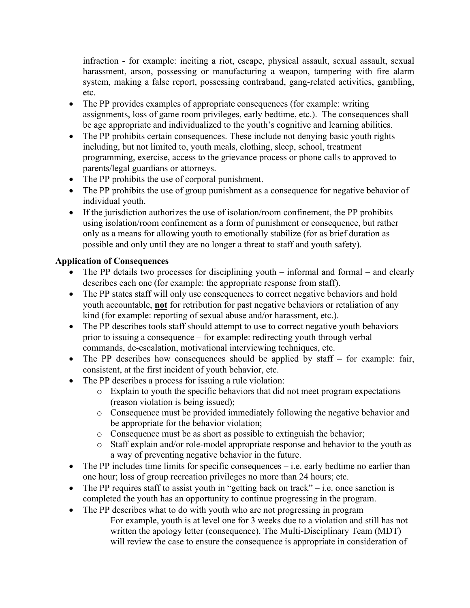infraction - for example: inciting a riot, escape, physical assault, sexual assault, sexual harassment, arson, possessing or manufacturing a weapon, tampering with fire alarm system, making a false report, possessing contraband, gang-related activities, gambling, etc.

- The PP provides examples of appropriate consequences (for example: writing assignments, loss of game room privileges, early bedtime, etc.). The consequences shall be age appropriate and individualized to the youth's cognitive and learning abilities.
- The PP prohibits certain consequences. These include not denying basic youth rights including, but not limited to, youth meals, clothing, sleep, school, treatment programming, exercise, access to the grievance process or phone calls to approved to parents/legal guardians or attorneys.
- The PP prohibits the use of corporal punishment.
- The PP prohibits the use of group punishment as a consequence for negative behavior of individual youth.
- If the jurisdiction authorizes the use of isolation/room confinement, the PP prohibits using isolation/room confinement as a form of punishment or consequence, but rather only as a means for allowing youth to emotionally stabilize (for as brief duration as possible and only until they are no longer a threat to staff and youth safety).

### **Application of Consequences**

- The PP details two processes for disciplining youth  $-$  informal and formal  $-$  and clearly describes each one (for example: the appropriate response from staff).
- The PP states staff will only use consequences to correct negative behaviors and hold youth accountable, **not** for retribution for past negative behaviors or retaliation of any kind (for example: reporting of sexual abuse and/or harassment, etc.).
- The PP describes tools staff should attempt to use to correct negative youth behaviors prior to issuing a consequence – for example: redirecting youth through verbal commands, de-escalation, motivational interviewing techniques, etc.
- The PP describes how consequences should be applied by staff for example: fair, consistent, at the first incident of youth behavior, etc.
- The PP describes a process for issuing a rule violation:
	- o Explain to youth the specific behaviors that did not meet program expectations (reason violation is being issued);
	- o Consequence must be provided immediately following the negative behavior and be appropriate for the behavior violation;
	- o Consequence must be as short as possible to extinguish the behavior;
	- o Staff explain and/or role-model appropriate response and behavior to the youth as a way of preventing negative behavior in the future.
- The PP includes time limits for specific consequences  $-$  i.e. early bedtime no earlier than one hour; loss of group recreation privileges no more than 24 hours; etc.
- The PP requires staff to assist youth in "getting back on track" i.e. once sanction is completed the youth has an opportunity to continue progressing in the program.
- The PP describes what to do with youth who are not progressing in program For example, youth is at level one for 3 weeks due to a violation and still has not written the apology letter (consequence). The Multi-Disciplinary Team (MDT) will review the case to ensure the consequence is appropriate in consideration of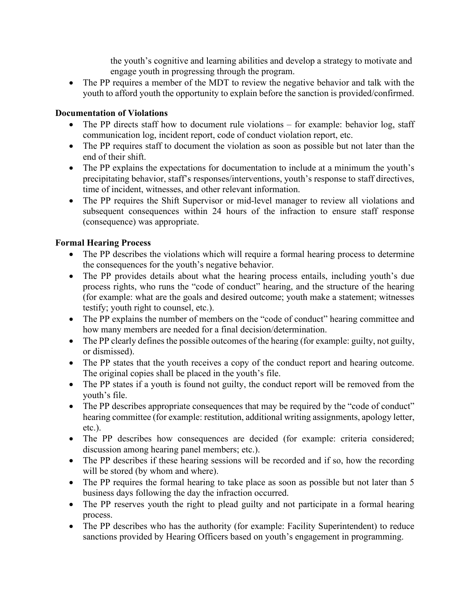the youth's cognitive and learning abilities and develop a strategy to motivate and engage youth in progressing through the program.

• The PP requires a member of the MDT to review the negative behavior and talk with the youth to afford youth the opportunity to explain before the sanction is provided/confirmed.

### **Documentation of Violations**

- The PP directs staff how to document rule violations for example: behavior log, staff communication log, incident report, code of conduct violation report, etc.
- The PP requires staff to document the violation as soon as possible but not later than the end of their shift.
- The PP explains the expectations for documentation to include at a minimum the youth's precipitating behavior, staff's responses/interventions, youth's response to staff directives, time of incident, witnesses, and other relevant information.
- The PP requires the Shift Supervisor or mid-level manager to review all violations and subsequent consequences within 24 hours of the infraction to ensure staff response (consequence) was appropriate.

## **Formal Hearing Process**

- The PP describes the violations which will require a formal hearing process to determine the consequences for the youth's negative behavior.
- The PP provides details about what the hearing process entails, including youth's due process rights, who runs the "code of conduct" hearing, and the structure of the hearing (for example: what are the goals and desired outcome; youth make a statement; witnesses testify; youth right to counsel, etc.).
- The PP explains the number of members on the "code of conduct" hearing committee and how many members are needed for a final decision/determination.
- The PP clearly defines the possible outcomes of the hearing (for example: guilty, not guilty, or dismissed).
- The PP states that the youth receives a copy of the conduct report and hearing outcome. The original copies shall be placed in the youth's file.
- The PP states if a youth is found not guilty, the conduct report will be removed from the youth's file.
- The PP describes appropriate consequences that may be required by the "code of conduct" hearing committee (for example: restitution, additional writing assignments, apology letter, etc.).
- The PP describes how consequences are decided (for example: criteria considered; discussion among hearing panel members; etc.).
- The PP describes if these hearing sessions will be recorded and if so, how the recording will be stored (by whom and where).
- The PP requires the formal hearing to take place as soon as possible but not later than 5 business days following the day the infraction occurred.
- The PP reserves youth the right to plead guilty and not participate in a formal hearing process.
- The PP describes who has the authority (for example: Facility Superintendent) to reduce sanctions provided by Hearing Officers based on youth's engagement in programming.